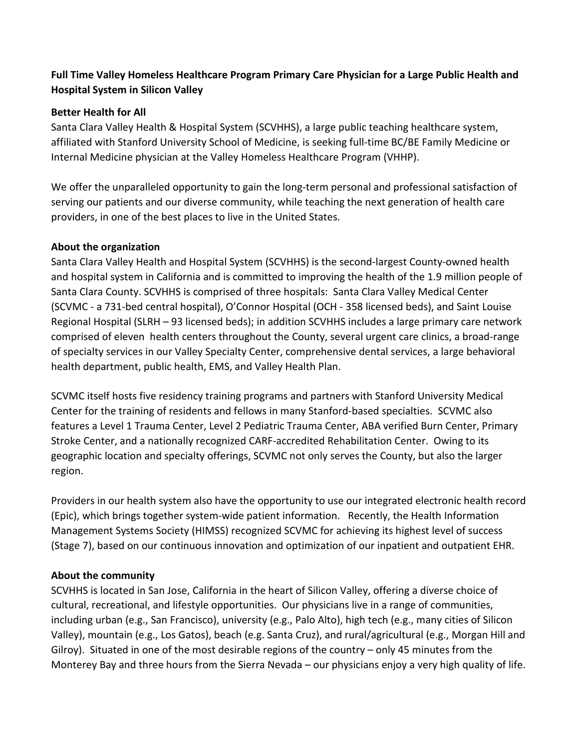# **Full Time Valley Homeless Healthcare Program Primary Care Physician for a Large Public Health and Hospital System in Silicon Valley**

#### **Better Health for All**

Santa Clara Valley Health & Hospital System (SCVHHS), a large public teaching healthcare system, affiliated with Stanford University School of Medicine, is seeking full-time BC/BE Family Medicine or Internal Medicine physician at the Valley Homeless Healthcare Program (VHHP).

We offer the unparalleled opportunity to gain the long-term personal and professional satisfaction of serving our patients and our diverse community, while teaching the next generation of health care providers, in one of the best places to live in the United States.

# **About the organization**

Santa Clara Valley Health and Hospital System (SCVHHS) is the second-largest County-owned health and hospital system in California and is committed to improving the health of the 1.9 million people of Santa Clara County. SCVHHS is comprised of three hospitals: Santa Clara Valley Medical Center (SCVMC - a 731-bed central hospital), O'Connor Hospital (OCH - 358 licensed beds), and Saint Louise Regional Hospital (SLRH – 93 licensed beds); in addition SCVHHS includes a large primary care network comprised of eleven health centers throughout the County, several urgent care clinics, a broad-range of specialty services in our Valley Specialty Center, comprehensive dental services, a large behavioral health department, public health, EMS, and Valley Health Plan.

SCVMC itself hosts five residency training programs and partners with Stanford University Medical Center for the training of residents and fellows in many Stanford-based specialties. SCVMC also features a Level 1 Trauma Center, Level 2 Pediatric Trauma Center, ABA verified Burn Center, Primary Stroke Center, and a nationally recognized CARF-accredited Rehabilitation Center. Owing to its geographic location and specialty offerings, SCVMC not only serves the County, but also the larger region.

Providers in our health system also have the opportunity to use our integrated electronic health record (Epic), which brings together system-wide patient information. Recently, the Health Information Management Systems Society (HIMSS) recognized SCVMC for achieving its highest level of success (Stage 7), based on our continuous innovation and optimization of our inpatient and outpatient EHR.

# **About the community**

SCVHHS is located in San Jose, California in the heart of Silicon Valley, offering a diverse choice of cultural, recreational, and lifestyle opportunities. Our physicians live in a range of communities, including urban (e.g., San Francisco), university (e.g., Palo Alto), high tech (e.g., many cities of Silicon Valley), mountain (e.g., Los Gatos), beach (e.g. Santa Cruz), and rural/agricultural (e.g., Morgan Hill and Gilroy). Situated in one of the most desirable regions of the country – only 45 minutes from the Monterey Bay and three hours from the Sierra Nevada – our physicians enjoy a very high quality of life.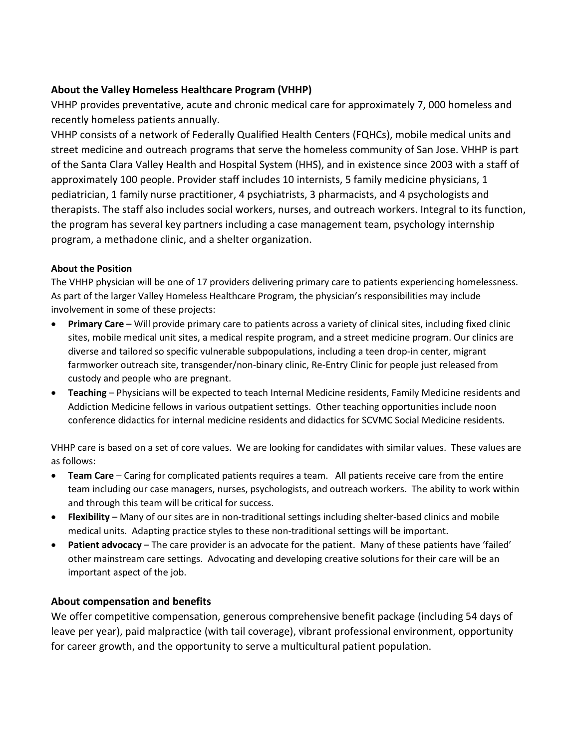# **About the Valley Homeless Healthcare Program (VHHP)**

VHHP provides preventative, acute and chronic medical care for approximately 7, 000 homeless and recently homeless patients annually.

VHHP consists of a network of Federally Qualified Health Centers (FQHCs), mobile medical units and street medicine and outreach programs that serve the homeless community of San Jose. VHHP is part of the Santa Clara Valley Health and Hospital System (HHS), and in existence since 2003 with a staff of approximately 100 people. Provider staff includes 10 internists, 5 family medicine physicians, 1 pediatrician, 1 family nurse practitioner, 4 psychiatrists, 3 pharmacists, and 4 psychologists and therapists. The staff also includes social workers, nurses, and outreach workers. Integral to its function, the program has several key partners including a case management team, psychology internship program, a methadone clinic, and a shelter organization.

#### **About the Position**

The VHHP physician will be one of 17 providers delivering primary care to patients experiencing homelessness. As part of the larger Valley Homeless Healthcare Program, the physician's responsibilities may include involvement in some of these projects:

- **Primary Care** Will provide primary care to patients across a variety of clinical sites, including fixed clinic sites, mobile medical unit sites, a medical respite program, and a street medicine program. Our clinics are diverse and tailored so specific vulnerable subpopulations, including a teen drop-in center, migrant farmworker outreach site, transgender/non-binary clinic, Re-Entry Clinic for people just released from custody and people who are pregnant.
- **Teaching** Physicians will be expected to teach Internal Medicine residents, Family Medicine residents and Addiction Medicine fellows in various outpatient settings. Other teaching opportunities include noon conference didactics for internal medicine residents and didactics for SCVMC Social Medicine residents.

VHHP care is based on a set of core values. We are looking for candidates with similar values. These values are as follows:

- **Team Care** Caring for complicated patients requires a team. All patients receive care from the entire team including our case managers, nurses, psychologists, and outreach workers. The ability to work within and through this team will be critical for success.
- **Flexibility**  Many of our sites are in non-traditional settings including shelter-based clinics and mobile medical units. Adapting practice styles to these non-traditional settings will be important.
- **Patient advocacy** The care provider is an advocate for the patient. Many of these patients have 'failed' other mainstream care settings. Advocating and developing creative solutions for their care will be an important aspect of the job.

#### **About compensation and benefits**

We offer competitive compensation, generous comprehensive benefit package (including 54 days of leave per year), paid malpractice (with tail coverage), vibrant professional environment, opportunity for career growth, and the opportunity to serve a multicultural patient population.